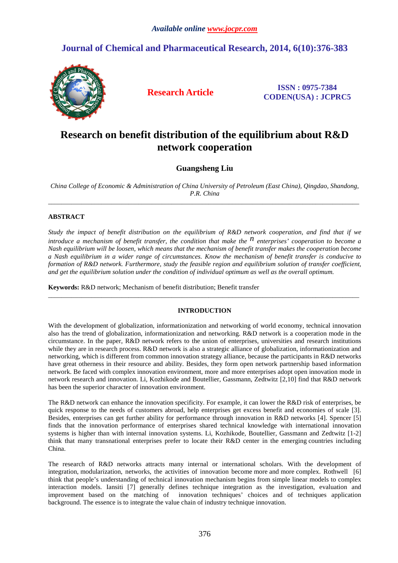# **Journal of Chemical and Pharmaceutical Research, 2014, 6(10):376-383**



**Research Article ISSN : 0975-7384 CODEN(USA) : JCPRC5**

# **Research on benefit distribution of the equilibrium about R&D network cooperation**

**Guangsheng Liu** 

*China College of Economic & Administration of China University of Petroleum (East China), Qingdao, Shandong, P.R. China*  \_\_\_\_\_\_\_\_\_\_\_\_\_\_\_\_\_\_\_\_\_\_\_\_\_\_\_\_\_\_\_\_\_\_\_\_\_\_\_\_\_\_\_\_\_\_\_\_\_\_\_\_\_\_\_\_\_\_\_\_\_\_\_\_\_\_\_\_\_\_\_\_\_\_\_\_\_\_\_\_\_\_\_\_\_\_\_\_\_\_\_\_\_

# **ABSTRACT**

*Study the impact of benefit distribution on the equilibrium of R&D network cooperation, and find that if we introduce a mechanism of benefit transfer, the condition that make the* <sup>*n*</sup> *enterprises' cooperation to become a Nash equilibrium will be loosen, which means that the mechanism of benefit transfer makes the cooperation become a Nash equilibrium in a wider range of circumstances. Know the mechanism of benefit transfer is conducive to formation of R&D network. Furthermore, study the feasible region and equilibrium solution of transfer coefficient, and get the equilibrium solution under the condition of individual optimum as well as the overall optimum.* 

**Keywords:** R&D network; Mechanism of benefit distribution; Benefit transfer

# **INTRODUCTION**

\_\_\_\_\_\_\_\_\_\_\_\_\_\_\_\_\_\_\_\_\_\_\_\_\_\_\_\_\_\_\_\_\_\_\_\_\_\_\_\_\_\_\_\_\_\_\_\_\_\_\_\_\_\_\_\_\_\_\_\_\_\_\_\_\_\_\_\_\_\_\_\_\_\_\_\_\_\_\_\_\_\_\_\_\_\_\_\_\_\_\_\_\_

With the development of globalization, informationization and networking of world economy, technical innovation also has the trend of globalization, informationization and networking. R&D network is a cooperation mode in the circumstance. In the paper, R&D network refers to the union of enterprises, universities and research institutions while they are in research process. R&D network is also a strategic alliance of globalization, informationization and networking, which is different from common innovation strategy alliance, because the participants in R&D networks have great otherness in their resource and ability. Besides, they form open network partnership based information network. Be faced with complex innovation environment, more and more enterprises adopt open innovation mode in network research and innovation. Li, Kozhikode and Boutellier, Gassmann, Zedtwitz [2,10] find that R&D network has been the superior character of innovation environment.

The R&D network can enhance the innovation specificity. For example, it can lower the R&D risk of enterprises, be quick response to the needs of customers abroad, help enterprises get excess benefit and economies of scale [3]. Besides, enterprises can get further ability for performance through innovation in R&D networks [4]. Spencer [5] finds that the innovation performance of enterprises shared technical knowledge with international innovation systems is higher than with internal innovation systems. Li, Kozhikode, Boutellier, Gassmann and Zedtwitz [1-2] think that many transnational enterprises prefer to locate their R&D center in the emerging countries including China.

The research of R&D networks attracts many internal or international scholars. With the development of integration, modularization, networks, the activities of innovation become more and more complex. Rothwell [6] think that people's understanding of technical innovation mechanism begins from simple linear models to complex interaction models. Iansiti [7] generally defines technique integration as the investigation, evaluation and improvement based on the matching of innovation techniques' choices and of techniques application background. The essence is to integrate the value chain of industry technique innovation.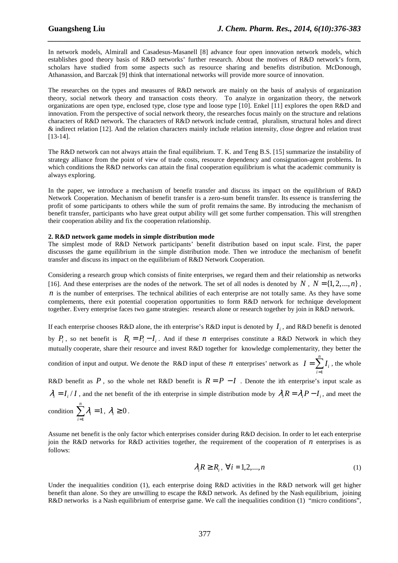In network models, Almirall and Casadesus-Masanell [8] advance four open innovation network models, which establishes good theory basis of R&D networks' further research. About the motives of R&D network's form, scholars have studied from some aspects such as resource sharing and benefits distribution. McDonough, Athanassion, and Barczak [9] think that international networks will provide more source of innovation.

*\_\_\_\_\_\_\_\_\_\_\_\_\_\_\_\_\_\_\_\_\_\_\_\_\_\_\_\_\_\_\_\_\_\_\_\_\_\_\_\_\_\_\_\_\_\_\_\_\_\_\_\_\_\_\_\_\_\_\_\_\_\_\_\_\_\_\_\_\_\_\_\_\_\_\_\_\_\_*

The researches on the types and measures of R&D network are mainly on the basis of analysis of organization theory, social network theory and transaction costs theory. To analyze in organization theory, the network organizations are open type, enclosed type, close type and loose type [10]. Enkel [11] explores the open R&D and innovation. From the perspective of social network theory, the researches focus mainly on the structure and relations characters of R&D network. The characters of R&D network include centrad, pluralism, structural holes and direct & indirect relation [12]. And the relation characters mainly include relation intensity, close degree and relation trust [13-14].

The R&D network can not always attain the final equilibrium. T. K. and Teng B.S. [15] summarize the instability of strategy alliance from the point of view of trade costs, resource dependency and consignation-agent problems. In which conditions the R&D networks can attain the final cooperation equilibrium is what the academic community is always exploring.

In the paper, we introduce a mechanism of benefit transfer and discuss its impact on the equilibrium of R&D Network Cooperation. Mechanism of benefit transfer is a zero-sum benefit transfer. Its essence is transferring the profit of some participants to others while the sum of profit remains the same. By introducing the mechanism of benefit transfer, participants who have great output ability will get some further compensation. This will strengthen their cooperation ability and fix the cooperation relationship.

## **2. R&D network game models in simple distribution mode**

The simplest mode of R&D Network participants' benefit distribution based on input scale. First, the paper discusses the game equilibrium in the simple distribution mode. Then we introduce the mechanism of benefit transfer and discuss its impact on the equilibrium of R&D Network Cooperation.

Considering a research group which consists of finite enterprises, we regard them and their relationship as networks [16]. And these enterprises are the nodes of the network. The set of all nodes is denoted by  $N$ ,  $N = \{1, 2, ..., n\}$ , *n* is the number of enterprises. The technical abilities of each enterprise are not totally same. As they have some complements, there exit potential cooperation opportunities to form R&D network for technique development together. Every enterprise faces two game strategies: research alone or research together by join in R&D network.

If each enterprise chooses R&D alone, the ith enterprise's R&D input is denoted by  $I_i$ , and R&D benefit is denoted by  $P_i$ , so net benefit is  $R_i = P_i - I_i$ . And if these *n* enterprises constitute a R&D Network in which they mutually cooperate, share their resource and invest R&D together for knowledge complementarity, they better the *n*

condition of input and output. We denote the R&D input of these *n* enterprises' network as  $I=\sum$ = *i*  $I = \sum I_i$ , the whole 1

R&D benefit as  $P$ , so the whole net R&D benefit is  $R = P - I$ . Denote the ith enterprise's input scale as  $\lambda_i = I_i / I$ , and the net benefit of the ith enterprise in simple distribution mode by  $\lambda_i R = \lambda_i P - I_i$ , and meet the

$$
condition \sum_{i=1}^{n} \lambda_i = 1, \lambda_i \ge 0.
$$

Assume net benefit is the only factor which enterprises consider during R&D decision. In order to let each enterprise join the R&D networks for R&D activities together, the requirement of the cooperation of  $n$  enterprises is as follows:

$$
\lambda_i R \ge R_i, \ \forall i = 1, 2, \dots, n \tag{1}
$$

Under the inequalities condition (1), each enterprise doing R&D activities in the R&D network will get higher benefit than alone. So they are unwilling to escape the R&D network. As defined by the Nash equilibrium, joining R&D networks is a Nash equilibrium of enterprise game. We call the inequalities condition (1) "micro conditions",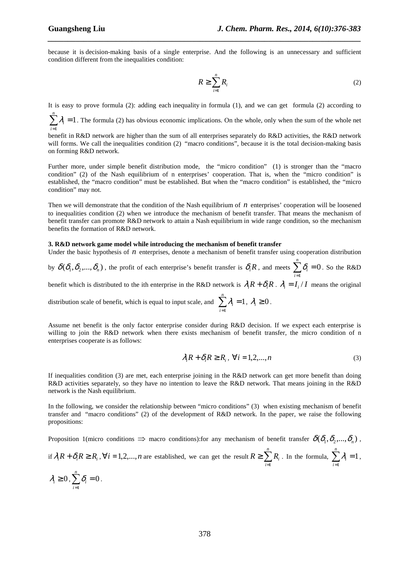because it is decision-making basis of a single enterprise. And the following is an unnecessary and sufficient condition different from the inequalities condition:

*\_\_\_\_\_\_\_\_\_\_\_\_\_\_\_\_\_\_\_\_\_\_\_\_\_\_\_\_\_\_\_\_\_\_\_\_\_\_\_\_\_\_\_\_\_\_\_\_\_\_\_\_\_\_\_\_\_\_\_\_\_\_\_\_\_\_\_\_\_\_\_\_\_\_\_\_\_\_*

$$
R \ge \sum_{i=1}^{n} R_i \tag{2}
$$

It is easy to prove formula (2): adding each inequality in formula (1), and we can get formula (2) according to

 $\sum_{i=1}^{n} \lambda_i = 1$ 1 = *i*  $\lambda_i = 1$ . The formula (2) has obvious economic implications. On the whole, only when the sum of the whole net

benefit in R&D network are higher than the sum of all enterprises separately do R&D activities, the R&D network will forms. We call the inequalities condition (2) "macro conditions", because it is the total decision-making basis on forming R&D network.

Further more, under simple benefit distribution mode, the "micro condition" (1) is stronger than the "macro condition" (2) of the Nash equilibrium of n enterprises' cooperation. That is, when the "micro condition" is established, the "macro condition" must be established. But when the "macro condition" is established, the "micro condition" may not.

Then we will demonstrate that the condition of the Nash equilibrium of *n* enterprises' cooperation will be loosened to inequalities condition (2) when we introduce the mechanism of benefit transfer. That means the mechanism of benefit transfer can promote R&D network to attain a Nash equilibrium in wide range condition, so the mechanism benefits the formation of R&D network.

### **3. R&D network game model while introducing the mechanism of benefit transfer**

Under the basic hypothesis of  $n$  enterprises, denote a mechanism of benefit transfer using cooperation distribution

by  $\delta(\delta_1,\delta_2,...,\delta_n)$  , the profit of each enterprise's benefit transfer is  $\delta_iR$  , and meets  $\sum\delta_i=0$ 1  $\sum \delta_i =$ = *n i*  $\delta_i = 0$ . So the R&D

benefit which is distributed to the ith enterprise in the R&D network is  $\lambda_i R + \delta_i R$ .  $\lambda_i = I_i / I$  means the original

distribution scale of benefit, which is equal to input scale, and  $\sum_{i=1}^n \lambda_i = 1$ 1  $\sum \mathcal{ \lambda }_i =$ = *n i*  $\lambda_i = 1, \lambda_i \geq 0$ .

Assume net benefit is the only factor enterprise consider during R&D decision. If we expect each enterprise is willing to join the R&D network when there exists mechanism of benefit transfer, the micro condition of n enterprises cooperate is as follows:

$$
\lambda_i R + \delta_i R \ge R_i, \ \forall i = 1, 2, ..., n
$$
\n(3)

If inequalities condition (3) are met, each enterprise joining in the R&D network can get more benefit than doing R&D activities separately, so they have no intention to leave the R&D network. That means joining in the R&D network is the Nash equilibrium.

In the following, we consider the relationship between "micro conditions" (3) when existing mechanism of benefit transfer and "macro conditions" (2) of the development of R&D network. In the paper, we raise the following propositions:

Proposition 1(micro conditions  $\Rightarrow$  macro conditions):for any mechanism of benefit transfer  $\delta(\delta_1, \delta_2, ..., \delta_n)$ ,

if  $\lambda_i R + \delta_i R \ge R_i$ ,  $\forall i = 1, 2, ..., n$  are established, we can get the result  $R \ge \sum_{i=1}^{n}$ = ≥ *n i*  $R \geq \sum R_i$ 1 . In the formula,  $\sum_{i} \lambda_i = 1$ 1  $\sum \mathcal{ \lambda }_i =$ = *n i*  $\lambda_i = 1$ ,

$$
\lambda_i \geq 0, \sum_{i=1}^n \delta_i = 0.
$$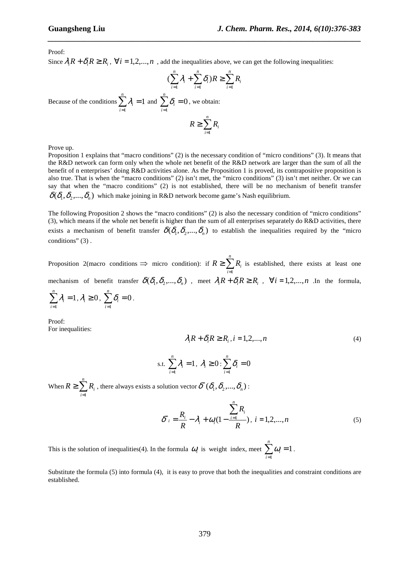Proof:

Since  $\lambda_i R + \delta_i R \ge R_i$ ,  $\forall i = 1, 2, ..., n$ , add the inequalities above, we can get the following inequalities:

$$
\left(\sum_{i=1}^n \lambda_i + \sum_{i=1}^n \delta_i\right)R \ge \sum_{i=1}^n R_i
$$

*\_\_\_\_\_\_\_\_\_\_\_\_\_\_\_\_\_\_\_\_\_\_\_\_\_\_\_\_\_\_\_\_\_\_\_\_\_\_\_\_\_\_\_\_\_\_\_\_\_\_\_\_\_\_\_\_\_\_\_\_\_\_\_\_\_\_\_\_\_\_\_\_\_\_\_\_\_\_*

Because of the conditions  $\sum \lambda_i = 1$ 1  $\sum \mathcal{ \lambda }_i =$ = *n i*  $\lambda_i = 1$  and  $\sum \delta_i = 0$ 1  $\sum \delta_i =$ = *n i*  $\delta_i = 0$ , we obtain:

$$
R \geq \sum_{i=1}^n R_i
$$

Prove up.

Proposition 1 explains that "macro conditions" (2) is the necessary condition of "micro conditions" (3). It means that the R&D network can form only when the whole net benefit of the R&D network are larger than the sum of all the benefit of n enterprises' doing R&D activities alone. As the Proposition 1 is proved, its contrapositive proposition is also true. That is when the "macro conditions" (2) isn't met, the "micro conditions" (3) isn't met neither. Or we can say that when the "macro conditions" (2) is not established, there will be no mechanism of benefit transfer  $\delta(\delta_1, \delta_2, ..., \delta_n)$  which make joining in R&D network become game's Nash equilibrium.

The following Proposition 2 shows the "macro conditions" (2) is also the necessary condition of "micro conditions" (3), which means if the whole net benefit is higher than the sum of all enterprises separately do R&D activities, there exists a mechanism of benefit transfer  $\delta(\delta_1, \delta_2, ..., \delta_n)$  to establish the inequalities required by the "micro" conditions" (3).

Proposition 2(macro conditions  $\Rightarrow$  micro condition): if  $R \ge \sum_{n=1}^{\infty}$ = ≥ *n i*  $R \geq \sum R_i$ 1 is established, there exists at least one mechanism of benefit transfer  $\delta(\delta_1, \delta_2, ..., \delta_n)$ , meet  $\lambda_i R + \delta_i R \ge R_i$ ,  $\forall i = 1, 2, ..., n$ . In the formula,

$$
\sum_{i=1}^n \lambda_i = 1, \lambda_i \ge 0, \ \sum_{i=1}^n \delta_i = 0.
$$

Proof: For inequalities:

$$
\lambda_i R + \delta_i R \ge R_i, i = 1, 2, \dots, n \tag{4}
$$

s.t. 
$$
\sum_{i=1}^{n} \lambda_i = 1, \lambda_i \geq 0 : \sum_{i=1}^{n} \delta_i = 0
$$

When  $R \geq \sum_{n=1}^{\infty}$ = ≥ *n i*  $R \geq \sum R_i$ 1 , there always exists a solution vector  $\boldsymbol{\delta}^*(\delta_{\!1}, \delta_{\!2},\!..., \delta_{\!n})$  $\delta^*(\delta_1,\delta_2,...,\delta_n)$  :

$$
\delta^*_{i} = \frac{R_i}{R} - \lambda_i + \omega_i (1 - \frac{\sum_{i=1}^{n} R_i}{R}), \ i = 1, 2, ..., n
$$
 (5)

This is the solution of inequalities(4). In the formula  $\omega_i$  is weight index, meet  $\sum_{i=1}^{n} \omega_i =$ = *n i*  $\omega_i = 1$ . 1

Substitute the formula (5) into formula (4), it is easy to prove that both the inequalities and constraint conditions are established.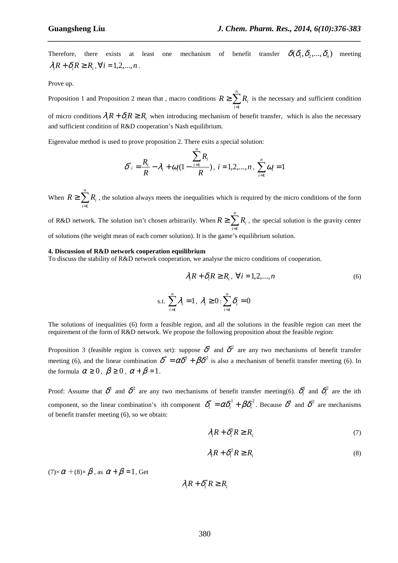Therefore, there exists at least one mechanism of benefit transfer  $\delta(\delta_1, \delta_2, ..., \delta_n)$  meeting  $\lambda_i R + \delta_i R \ge R_i$ ,  $\forall i = 1, 2, ..., n$ .

*\_\_\_\_\_\_\_\_\_\_\_\_\_\_\_\_\_\_\_\_\_\_\_\_\_\_\_\_\_\_\_\_\_\_\_\_\_\_\_\_\_\_\_\_\_\_\_\_\_\_\_\_\_\_\_\_\_\_\_\_\_\_\_\_\_\_\_\_\_\_\_\_\_\_\_\_\_\_*

Prove up.

Proposition 1 and Proposition 2 mean that , macro conditions  $R \geq \sum$ = *n i*  $R \geq \sum_{i} R_i$  is the necessary and sufficient condition 1

of micro conditions  $\lambda_i R + \delta_i R \ge R_i$  when introducing mechanism of benefit transfer, which is also the necessary and sufficient condition of R&D cooperation's Nash equilibrium.

Eigenvalue method is used to prove proposition 2. There exits a special solution:

$$
\delta^*_{i} = \frac{R_i}{R} - \lambda_i + \omega_i (1 - \frac{\sum_{i=1}^{n} R_i}{R}), i = 1, 2, ..., n, \sum_{i=1}^{n} \omega_i = 1
$$

*n*

When  $R \geq \sum_{n=1}^{\infty}$ = *n i*  $R \geq \sum R_i$ , the solution always meets the inequalities which is required by the micro conditions of the form 1

of R&D network. The solution isn't chosen arbitrarily. When  $R \geq \sum_{n=1}^{\infty}$ = *n i*  $R \geq \sum R_i$ , the special solution is the gravity center 1 of solutions (the weight mean of each corner solution). It is the game's equilibrium solution.

#### **4. Discussion of R&D network cooperation equilibrium**

To discuss the stability of R&D network cooperation, we analyse the micro conditions of cooperation.

$$
\lambda_i R + \delta_i R \ge R_i, \ \forall i = 1, 2, \dots, n
$$
\n<sup>n</sup>

s.t. 
$$
\sum_{i=1}^{n} \lambda_i = 1, \lambda_i \geq 0 : \sum_{i=1}^{n} \delta_i = 0
$$

The solutions of inequalities (6) form a feasible region, and all the solutions in the feasible region can meet the requirement of the form of R&D network. We propose the following proposition about the feasible region:

Proposition 3 (feasible region is convex set): suppose  $\delta^1$  and  $\delta^2$  are any two mechanisms of benefit transfer meeting (6), and the linear combination  $\delta^* = \alpha \delta^1 + \beta \delta^2$  is also a mechanism of benefit transfer meeting (6). In the formula  $\alpha \geq 0$ ,  $\beta \geq 0$ ,  $\alpha + \beta = 1$ .

Proof: Assume that  $\delta^1$  and  $\delta^2$  are any two mechanisms of benefit transfer meeting(6).  $\delta^1_i$  and  $\delta^2_i$  are the ith component, so the linear combination's ith component  $\delta_i^* = \alpha \delta_i^1 + \beta \delta_i^2$ . Because  $\delta^1$  and  $\delta^2$  are mechanisms of benefit transfer meeting (6), so we obtain:

$$
\lambda_i R + \delta_i^1 R \ge R_i \tag{7}
$$

$$
\lambda_i R + \delta_i^2 R \ge R_i \tag{8}
$$

 $(7)\times\alpha + (8)\times\beta$ , as  $\alpha + \beta = 1$ , Get

 $\lambda_i R + \delta_i^* R \ge R_i$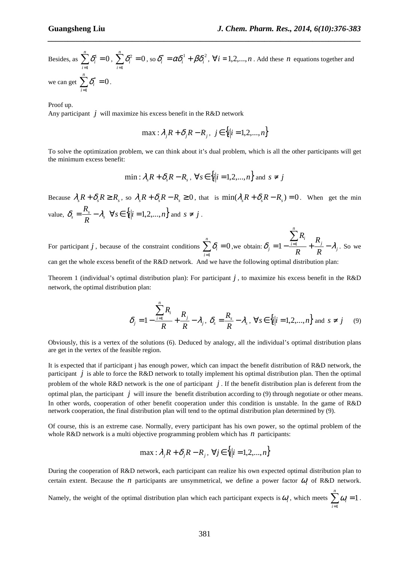*n*

Besides, as  $\sum \delta_i^1 = 0$ 1  $\sum^{\scriptscriptstyle n}\mathcal{S}^{\scriptscriptstyle 1}_{\scriptscriptstyle i}=$ = *n i*  $\delta_i^1=0$ ,  $\sum_{i} \delta_i^2=0$ 1  $\sum \delta_i^2 =$ = *n i*  $\delta_i^2 = 0$ , so  $\delta_i^* = \alpha \delta_i^1 + \beta \delta_i^2$ ,  $\forall i = 1, 2, ..., n$ . Add these *n* equations together and we can get  $\sum \delta_i^* = 0$ 1  $\sum \delta_i^* =$ = *n i*  $\delta_i^* = 0$ .

*\_\_\_\_\_\_\_\_\_\_\_\_\_\_\_\_\_\_\_\_\_\_\_\_\_\_\_\_\_\_\_\_\_\_\_\_\_\_\_\_\_\_\_\_\_\_\_\_\_\_\_\_\_\_\_\_\_\_\_\_\_\_\_\_\_\_\_\_\_\_\_\_\_\_\_\_\_\_*

Proof up.

Any participant  $j$  will maximize his excess benefit in the R&D network

$$
\max : \lambda_j R + \delta_j R - R_j, \ \ j \in \{i | i = 1, 2, ..., n\}
$$

To solve the optimization problem, we can think about it's dual problem, which is all the other participants will get the minimum excess benefit:

$$
\min: \lambda_s R + \delta_s R - R_s, \ \forall s \in \{i | i = 1, 2, ..., n\} \text{ and } s \neq j
$$

Because  $\lambda_s R + \delta_s R \ge R_s$ , so  $\lambda_s R + \delta_s R - R_s \ge 0$ , that is  $\min(\lambda_s R + \delta_s R - R_s) = 0$ . When get the min value,  $\delta_s = \frac{R_s}{R} - \lambda_s$  $\delta_{s} = \frac{R_{s}}{R_{s}} - \lambda_{s} \quad \forall s \in \{i | i = 1, 2, ..., n\}$  and  $s \neq j$ .

For participant *j*, because of the constraint conditions  $\sum \delta_i = 0$ 1  $\sum \delta_i =$ = *n i*  $\delta_i = 0$ , we obtain:  $\delta_j = 1 - \frac{i-1}{R} + \frac{\kappa_j}{R} - \lambda_j$ *i i*  $\frac{1}{R}$   $R$   $R$ *R R R*  $\delta_i = 1 - \frac{i-1}{n} + \frac{i-j}{n} - \lambda_i$  $\sum$  $1 - \frac{i-1}{n}$  +  $\frac{r_i}{n}$  -  $\lambda_i$ . So we can get the whole excess benefit of the R&D network. And we have the following optimal distribution plan:

Theorem 1 (individual's optimal distribution plan): For participant *j* , to maximize his excess benefit in the R&D network, the optimal distribution plan:

$$
\delta_j = 1 - \frac{\sum_{i=1}^n R_i}{R} + \frac{R_j}{R} - \lambda_j, \ \delta_s = \frac{R_s}{R} - \lambda_s, \ \forall s \in \{i | i = 1, 2, ..., n\} \text{ and } s \neq j \tag{9}
$$

Obviously, this is a vertex of the solutions (6). Deduced by analogy, all the individual's optimal distribution plans are get in the vertex of the feasible region.

It is expected that if participant j has enough power, which can impact the benefit distribution of R&D network, the participant  $j$  is able to force the R&D network to totally implement his optimal distribution plan. Then the optimal problem of the whole R&D network is the one of participant *j* . If the benefit distribution plan is deferent from the optimal plan, the participant *j* will insure the benefit distribution according to  $(9)$  through negotiate or other means. In other words, cooperation of other benefit cooperation under this condition is unstable. In the game of R&D network cooperation, the final distribution plan will tend to the optimal distribution plan determined by (9).

Of course, this is an extreme case. Normally, every participant has his own power, so the optimal problem of the whole R&D network is a multi objective programming problem which has *n* participants:

$$
\max: \lambda_j R + \delta_j R - R_j, \ \forall j \in \{i | i = 1, 2, ..., n\}
$$

During the cooperation of R&D network, each participant can realize his own expected optimal distribution plan to certain extent. Because the *n* participants are unsymmetrical, we define a power factor  $\omega_i$  of R&D network.

Namely, the weight of the optimal distribution plan which each participant expects is  $\omega_i$ , which meets  $\sum a_i =$ = *n i*  $\omega_i = 1$ . 1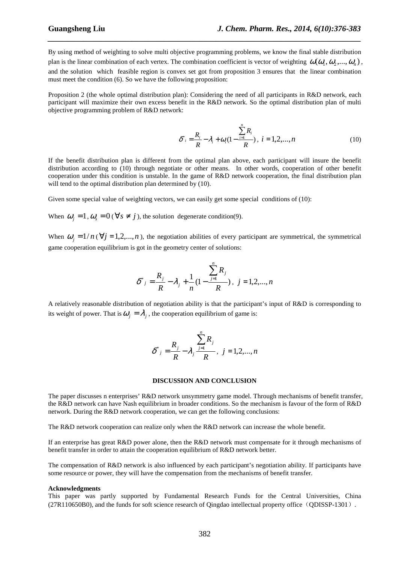By using method of weighting to solve multi objective programming problems, we know the final stable distribution plan is the linear combination of each vertex. The combination coefficient is vector of weighting  $\omega(\omega_1, \omega_2, ..., \omega_n)$ , and the solution which feasible region is convex set got from proposition 3 ensures that the linear combination must meet the condition (6). So we have the following proposition:

*\_\_\_\_\_\_\_\_\_\_\_\_\_\_\_\_\_\_\_\_\_\_\_\_\_\_\_\_\_\_\_\_\_\_\_\_\_\_\_\_\_\_\_\_\_\_\_\_\_\_\_\_\_\_\_\_\_\_\_\_\_\_\_\_\_\_\_\_\_\_\_\_\_\_\_\_\_\_*

Proposition 2 (the whole optimal distribution plan): Considering the need of all participants in R&D network, each participant will maximize their own excess benefit in the R&D network. So the optimal distribution plan of multi objective programming problem of R&D network:

$$
\delta^*_{i} = \frac{R_i}{R} - \lambda_i + \omega_i (1 - \frac{\sum_{i=1}^{n} R_i}{R}), \ i = 1, 2, ..., n
$$
 (10)

If the benefit distribution plan is different from the optimal plan above, each participant will insure the benefit distribution according to (10) through negotiate or other means. In other words, cooperation of other benefit cooperation under this condition is unstable. In the game of R&D network cooperation, the final distribution plan will tend to the optimal distribution plan determined by  $(10)$ .

Given some special value of weighting vectors, we can easily get some special conditions of (10):

When  $\omega_j = 1$ ,  $\omega_s = 0$  ( $\forall s \neq j$ ), the solution degenerate condition(9).

When  $\omega_i = 1/n$  ( $\forall j = 1, 2,...,n$ ), the negotiation abilities of every participant are symmetrical, the symmetrical game cooperation equilibrium is got in the geometry center of solutions:

$$
\delta^*_{j} = \frac{R_j}{R} - \lambda_j + \frac{1}{n} \left( 1 - \frac{\sum_{j=1}^{n} R_j}{R} \right), \ \ j = 1, 2, ..., n
$$

A relatively reasonable distribution of negotiation ability is that the participant's input of R&D is corresponding to its weight of power. That is  $\omega_j = \lambda_j$ , the cooperation equilibrium of game is:

$$
\delta^*{}_{j} = \frac{R_j}{R} - \lambda_j \frac{\sum_{j=1}^{n} R_j}{R}, \ \ j = 1, 2, ..., n
$$

#### **DISCUSSION AND CONCLUSION**

The paper discusses n enterprises' R&D network unsymmetry game model. Through mechanisms of benefit transfer, the R&D network can have Nash equilibrium in broader conditions. So the mechanism is favour of the form of R&D network. During the R&D network cooperation, we can get the following conclusions:

The R&D network cooperation can realize only when the R&D network can increase the whole benefit.

If an enterprise has great R&D power alone, then the R&D network must compensate for it through mechanisms of benefit transfer in order to attain the cooperation equilibrium of R&D network better.

The compensation of R&D network is also influenced by each participant's negotiation ability. If participants have some resource or power, they will have the compensation from the mechanisms of benefit transfer.

#### **Acknowledgments**

This paper was partly supported by Fundamental Research Funds for the Central Universities, China (27R110650B0), and the funds for soft science research of Qingdao intellectual property office(QDISSP-1301).